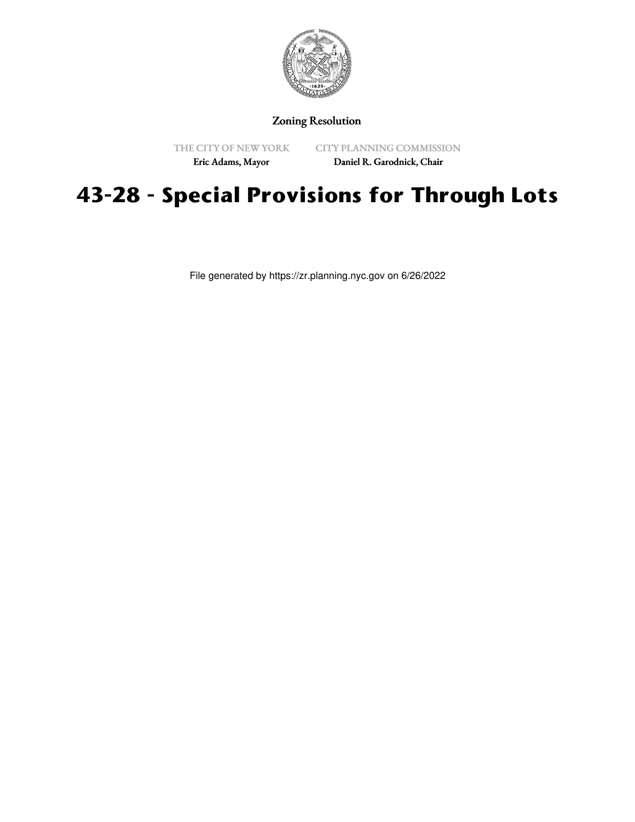

## Zoning Resolution

THE CITY OF NEW YORK Eric Adams, Mayor

CITY PLANNING COMMISSION Daniel R. Garodnick, Chair

## **43-28 - Special Provisions for Through Lots**

File generated by https://zr.planning.nyc.gov on 6/26/2022